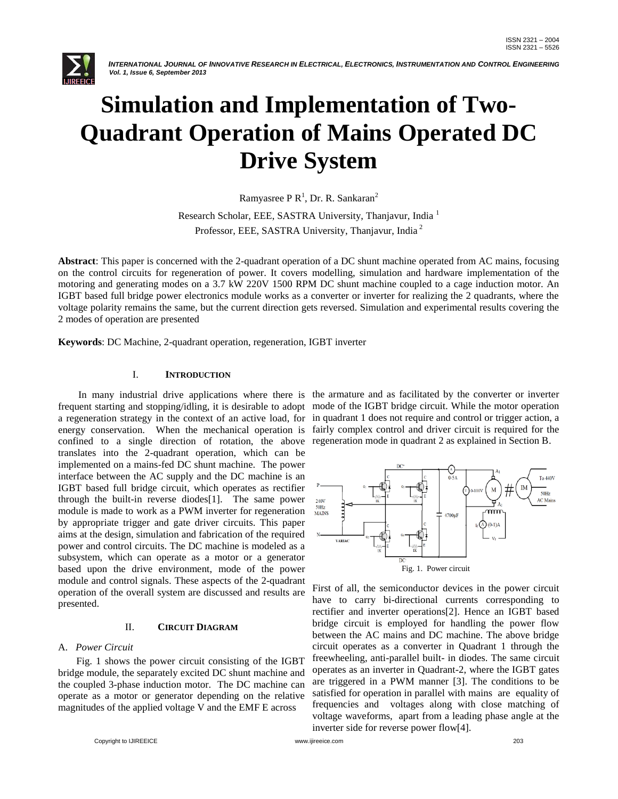

# **Simulation and Implementation of Two-Quadrant Operation of Mains Operated DC Drive System**

Ramyasree P  $R<sup>1</sup>$ , Dr. R. Sankaran<sup>2</sup>

Research Scholar, EEE, SASTRA University, Thanjavur, India <sup>1</sup> Professor, EEE, SASTRA University, Thanjavur, India <sup>2</sup>

**Abstract**: This paper is concerned with the 2-quadrant operation of a DC shunt machine operated from AC mains, focusing on the control circuits for regeneration of power. It covers modelling, simulation and hardware implementation of the motoring and generating modes on a 3.7 kW 220V 1500 RPM DC shunt machine coupled to a cage induction motor. An IGBT based full bridge power electronics module works as a converter or inverter for realizing the 2 quadrants, where the voltage polarity remains the same, but the current direction gets reversed. Simulation and experimental results covering the 2 modes of operation are presented

**Keywords**: DC Machine, 2-quadrant operation, regeneration, IGBT inverter

## I. **INTRODUCTION**

a regeneration strategy in the context of an active load, for in quadrant 1 does not require and control or trigger action, a confined to a single direction of rotation, the above translates into the 2-quadrant operation, which can be implemented on a mains-fed DC shunt machine. The power interface between the AC supply and the DC machine is an IGBT based full bridge circuit, which operates as rectifier through the built-in reverse diodes[1]. The same power module is made to work as a PWM inverter for regeneration by appropriate trigger and gate driver circuits. This paper aims at the design, simulation and fabrication of the required power and control circuits. The DC machine is modeled as a subsystem, which can operate as a motor or a generator based upon the drive environment, mode of the power module and control signals. These aspects of the 2-quadrant operation of the overall system are discussed and results are presented.

# II. **CIRCUIT DIAGRAM**

## A. *Power Circuit*

 Fig. 1 shows the power circuit consisting of the IGBT bridge module, the separately excited DC shunt machine and the coupled 3-phase induction motor. The DC machine can operate as a motor or generator depending on the relative magnitudes of the applied voltage V and the EMF E across

In many industrial drive applications where there is the armature and as facilitated by the converter or inverter frequent starting and stopping/idling, it is desirable to adopt mode of the IGBT bridge circuit. While the motor operation energy conservation. When the mechanical operation is fairly complex control and driver circuit is required for the regeneration mode in quadrant 2 as explained in Section B.



First of all, the semiconductor devices in the power circuit have to carry bi-directional currents corresponding to rectifier and inverter operations[2]. Hence an IGBT based bridge circuit is employed for handling the power flow between the AC mains and DC machine. The above bridge circuit operates as a converter in Quadrant 1 through the freewheeling, anti-parallel built- in diodes. The same circuit operates as an inverter in Quadrant-2, where the IGBT gates are triggered in a PWM manner [3]. The conditions to be satisfied for operation in parallel with mains are equality of frequencies and voltages along with close matching of voltage waveforms, apart from a leading phase angle at the inverter side for reverse power flow[4].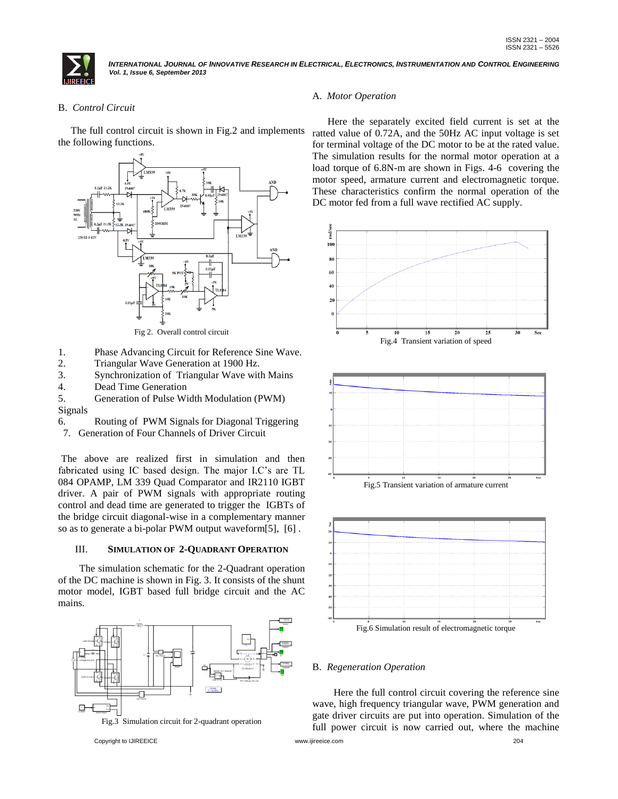# B. *Control Circuit*

 The full control circuit is shown in Fig.2 and implements the following functions.



Fig 2. Overall control circuit

- 1. Phase Advancing Circuit for Reference Sine Wave.
- 2. Triangular Wave Generation at 1900 Hz.
- 3. Synchronization of Triangular Wave with Mains
- 4. Dead Time Generation

5. Generation of Pulse Width Modulation (PWM) Signals

- 6. Routing of PWM Signals for Diagonal Triggering
- 7. Generation of Four Channels of Driver Circuit

The above are realized first in simulation and then fabricated using IC based design. The major I.C's are TL 084 OPAMP, LM 339 Quad Comparator and IR2110 IGBT driver. A pair of PWM signals with appropriate routing control and dead time are generated to trigger the IGBTs of the bridge circuit diagonal-wise in a complementary manner so as to generate a bi-polar PWM output waveform[5], [6] .

## III. **SIMULATION OF 2-QUADRANT OPERATION**

 The simulation schematic for the 2-Quadrant operation of the DC machine is shown in Fig. 3. It consists of the shunt motor model, IGBT based full bridge circuit and the AC mains.



Fig.3 Simulation circuit for 2-quadrant operation

Copyright to IJIREEICE www.ijireeice.com 204

# A. *Motor Operation*

 Here the separately excited field current is set at the ratted value of 0.72A, and the 50Hz AC input voltage is set for terminal voltage of the DC motor to be at the rated value. The simulation results for the normal motor operation at a load torque of 6.8N-m are shown in Figs. 4-6 covering the motor speed, armature current and electromagnetic torque. These characteristics confirm the normal operation of the DC motor fed from a full wave rectified AC supply.







Fig.6 Simulation result of electromagnetic torque

## B. *Regeneration Operation*

 Here the full control circuit covering the reference sine wave, high frequency triangular wave, PWM generation and gate driver circuits are put into operation. Simulation of the full power circuit is now carried out, where the machine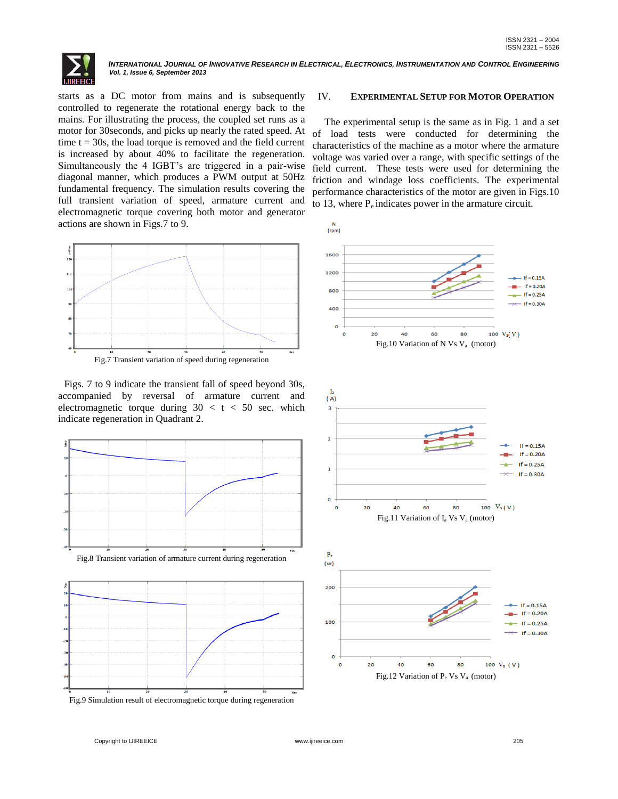

starts as a DC motor from mains and is subsequently controlled to regenerate the rotational energy back to the mains. For illustrating the process, the coupled set runs as a motor for 30seconds, and picks up nearly the rated speed. At time  $t = 30s$ , the load torque is removed and the field current is increased by about 40% to facilitate the regeneration. Simultaneously the 4 IGBT's are triggered in a pair-wise diagonal manner, which produces a PWM output at 50Hz fundamental frequency. The simulation results covering the full transient variation of speed, armature current and electromagnetic torque covering both motor and generator actions are shown in Figs.7 to 9.



 Figs. 7 to 9 indicate the transient fall of speed beyond 30s, accompanied by reversal of armature current and electromagnetic torque during  $30 < t < 50$  sec. which indicate regeneration in Quadrant 2.



#### IV. **EXPERIMENTAL SETUP FOR MOTOR OPERATION**

The experimental setup is the same as in Fig. 1 and a set of load tests were conducted for determining the characteristics of the machine as a motor where the armature voltage was varied over a range, with specific settings of the field current. These tests were used for determining the friction and windage loss coefficients. The experimental performance characteristics of the motor are given in Figs.10 to 13, where  $P_e$  indicates power in the armature circuit.

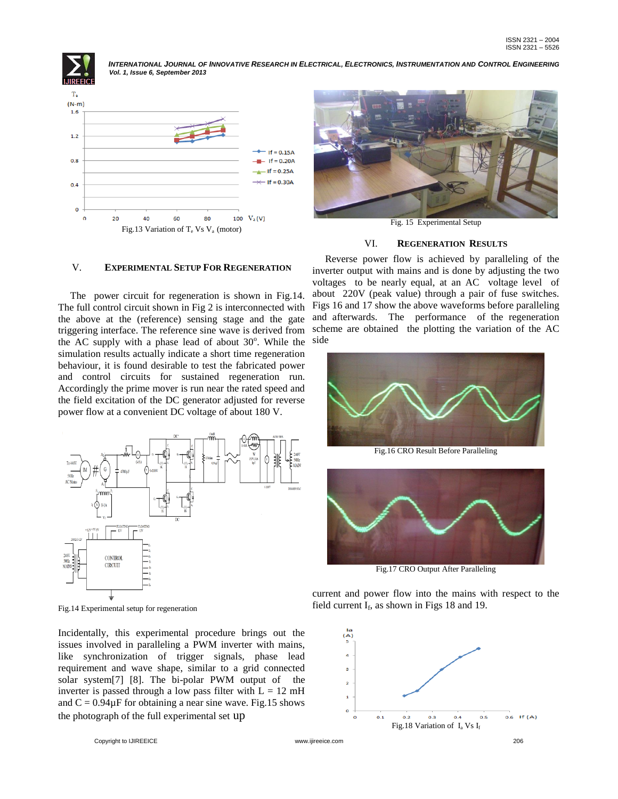



# V. **EXPERIMENTAL SETUP FOR REGENERATION**

 The power circuit for regeneration is shown in Fig.14. The full control circuit shown in Fig 2 is interconnected with the above at the (reference) sensing stage and the gate triggering interface. The reference sine wave is derived from the AC supply with a phase lead of about  $30^\circ$ . While the simulation results actually indicate a short time regeneration behaviour, it is found desirable to test the fabricated power and control circuits for sustained regeneration run. Accordingly the prime mover is run near the rated speed and the field excitation of the DC generator adjusted for reverse power flow at a convenient DC voltage of about 180 V.



Fig.14 Experimental setup for regeneration

Incidentally, this experimental procedure brings out the issues involved in paralleling a PWM inverter with mains, like synchronization of trigger signals, phase lead requirement and wave shape, similar to a grid connected solar system[7] [8]. The bi-polar PWM output of the inverter is passed through a low pass filter with  $L = 12$  mH and  $C = 0.94 \mu F$  for obtaining a near sine wave. Fig.15 shows the photograph of the full experimental set up



Fig. 15 Experimental Setup

#### VI. **REGENERATION RESULTS**

 Reverse power flow is achieved by paralleling of the inverter output with mains and is done by adjusting the two voltages to be nearly equal, at an AC voltage level of about 220V (peak value) through a pair of fuse switches. Figs 16 and 17 show the above waveforms before paralleling and afterwards. The performance of the regeneration scheme are obtained the plotting the variation of the AC side



Fig.16 CRO Result Before Paralleling



Fig.17 CRO Output After Paralleling

current and power flow into the mains with respect to the field current  $I_f$ , as shown in Figs 18 and 19.